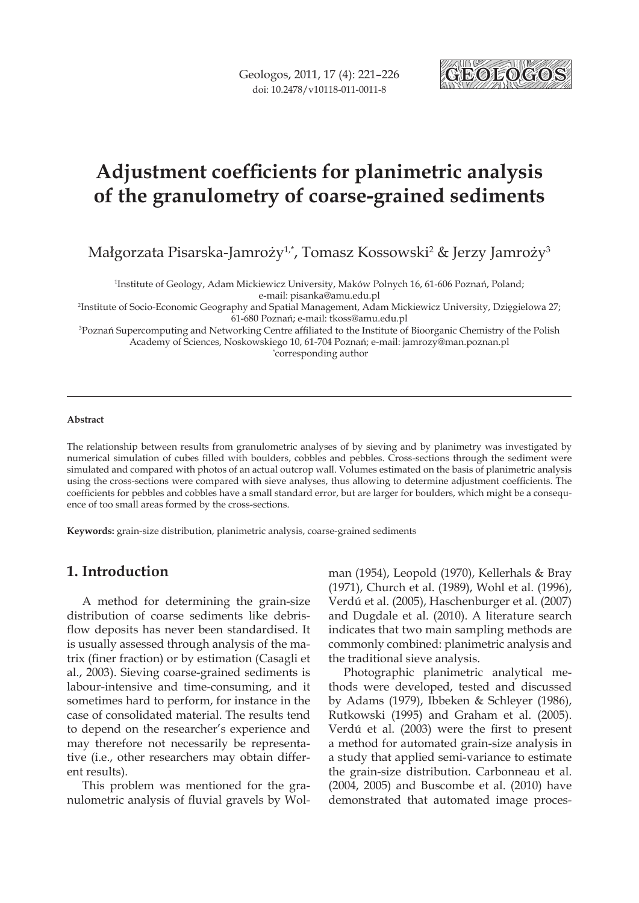

# **Adjustment coefficients for planimetric analysis of the granulometry of coarse-grained sediments**

Małgorzata Pisarska-Jamroży<sup>1,\*</sup>, Tomasz Kossowski<sup>2</sup> & Jerzy Jamroży<sup>3</sup>

1 Institute of Geology, Adam Mickiewicz University, Maków Polnych 16, 61-606 Poznań, Poland; e-mail: pisanka@amu.edu.pl

2 Institute of Socio-Economic Geography and Spatial Management, Adam Mickiewicz University, Dzięgielowa 27; 61-680 Poznań; e-mail: tkoss@amu.edu.pl

3 Poznań Supercomputing and Networking Centre affiliated to the Institute of Bioorganic Chemistry of the Polish Academy of Sciences, Noskowskiego 10, 61-704 Poznań; e-mail: jamrozy@man.poznan.pl \* corresponding author

#### **Abstract**

The relationship between results from granulometric analyses of by sieving and by planimetry was investigated by numerical simulation of cubes filled with boulders, cobbles and pebbles. Cross-sections through the sediment were simulated and compared with photos of an actual outcrop wall. Volumes estimated on the basis of planimetric analysis using the cross-sections were compared with sieve analyses, thus allowing to determine adjustment coefficients. The coefficients for pebbles and cobbles have a small standard error, but are larger for boulders, which might be a consequence of too small areas formed by the cross-sections.

**Keywords:** grain-size distribution, planimetric analysis, coarse-grained sediments

# **1. Introduction**

A method for determining the grain-size distribution of coarse sediments like debrisflow deposits has never been standardised. It is usually assessed through analysis of the matrix (finer fraction) or by estimation (Casagli et al., 2003). Sieving coarse-grained sediments is labour-intensive and time-consuming, and it sometimes hard to perform, for instance in the case of consolidated material. The results tend to depend on the researcher's experience and may therefore not necessarily be representative (i.e., other researchers may obtain different results).

This problem was mentioned for the granulometric analysis of fluvial gravels by Wolman (1954), Leopold (1970), Kellerhals & Bray (1971), Church et al. (1989), Wohl et al. (1996), Verdú et al. (2005), Haschenburger et al. (2007) and Dugdale et al. (2010). A literature search indicates that two main sampling methods are commonly combined: planimetric analysis and the traditional sieve analysis.

Photographic planimetric analytical methods were developed, tested and discussed by Adams (1979), Ibbeken & Schleyer (1986), Rutkowski (1995) and Graham et al. (2005). Verdú et al. (2003) were the first to present a method for automated grain-size analysis in a study that applied semi-variance to estimate the grain-size distribution. Carbonneau et al. (2004, 2005) and Buscombe et al. (2010) have demonstrated that automated image proces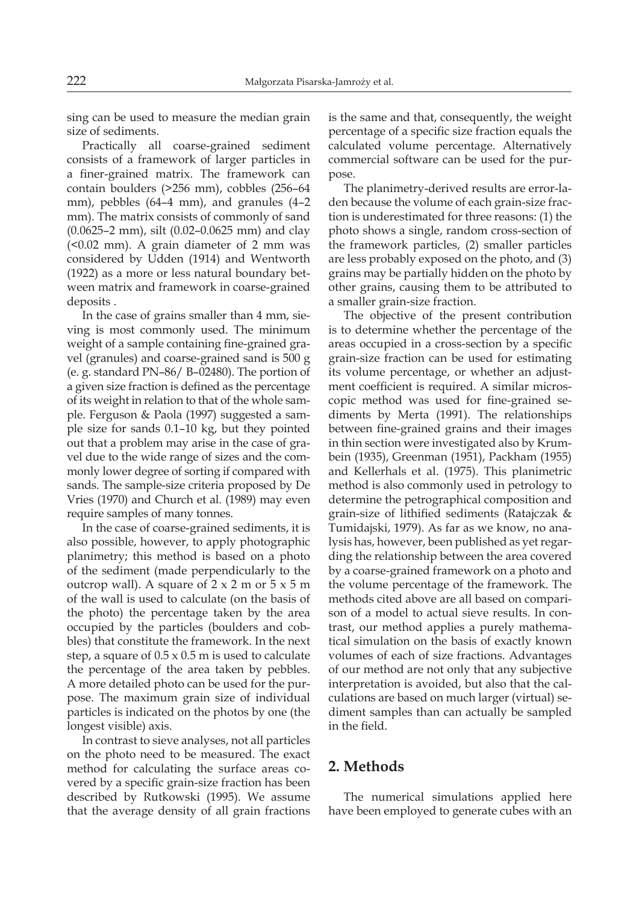sing can be used to measure the median grain size of sediments.

Practically all coarse-grained sediment consists of a framework of larger particles in a finer-grained matrix. The framework can contain boulders (>256 mm), cobbles (256–64 mm), pebbles (64–4 mm), and granules (4–2 mm). The matrix consists of commonly of sand (0.0625–2 mm), silt (0.02–0.0625 mm) and clay (<0.02 mm). A grain diameter of 2 mm was considered by Udden (1914) and Wentworth (1922) as a more or less natural boundary between matrix and framework in coarse-grained deposits .

In the case of grains smaller than 4 mm, sieving is most commonly used. The minimum weight of a sample containing fine-grained gravel (granules) and coarse-grained sand is 500 g (e. g. standard PN–86/ B–02480). The portion of a given size fraction is defined as the percentage of its weight in relation to that of the whole sample. Ferguson & Paola (1997) suggested a sample size for sands 0.1–10 kg, but they pointed out that a problem may arise in the case of gravel due to the wide range of sizes and the commonly lower degree of sorting if compared with sands. The sample-size criteria proposed by De Vries (1970) and Church et al. (1989) may even require samples of many tonnes.

In the case of coarse-grained sediments, it is also possible, however, to apply photographic planimetry; this method is based on a photo of the sediment (made perpendicularly to the outcrop wall). A square of  $2 \times 2$  m or  $5 \times 5$  m of the wall is used to calculate (on the basis of the photo) the percentage taken by the area occupied by the particles (boulders and cobbles) that constitute the framework. In the next step, a square of  $0.5 \times 0.5$  m is used to calculate the percentage of the area taken by pebbles. A more detailed photo can be used for the purpose. The maximum grain size of individual particles is indicated on the photos by one (the longest visible) axis.

In contrast to sieve analyses, not all particles on the photo need to be measured. The exact method for calculating the surface areas covered by a specific grain-size fraction has been described by Rutkowski (1995). We assume that the average density of all grain fractions is the same and that, consequently, the weight percentage of a specific size fraction equals the calculated volume percentage. Alternatively commercial software can be used for the purpose.

The planimetry-derived results are error-laden because the volume of each grain-size fraction is underestimated for three reasons: (1) the photo shows a single, random cross-section of the framework particles, (2) smaller particles are less probably exposed on the photo, and (3) grains may be partially hidden on the photo by other grains, causing them to be attributed to a smaller grain-size fraction.

The objective of the present contribution is to determine whether the percentage of the areas occupied in a cross-section by a specific grain-size fraction can be used for estimating its volume percentage, or whether an adjustment coefficient is required. A similar microscopic method was used for fine-grained sediments by Merta (1991). The relationships between fine-grained grains and their images in thin section were investigated also by Krumbein (1935), Greenman (1951), Packham (1955) and Kellerhals et al. (1975). This planimetric method is also commonly used in petrology to determine the petrographical composition and grain-size of lithified sediments (Ratajczak & Tumidajski, 1979). As far as we know, no analysis has, however, been published as yet regarding the relationship between the area covered by a coarse-grained framework on a photo and the volume percentage of the framework. The methods cited above are all based on comparison of a model to actual sieve results. In contrast, our method applies a purely mathematical simulation on the basis of exactly known volumes of each of size fractions. Advantages of our method are not only that any subjective interpretation is avoided, but also that the calculations are based on much larger (virtual) sediment samples than can actually be sampled in the field.

# **2. Methods**

The numerical simulations applied here have been employed to generate cubes with an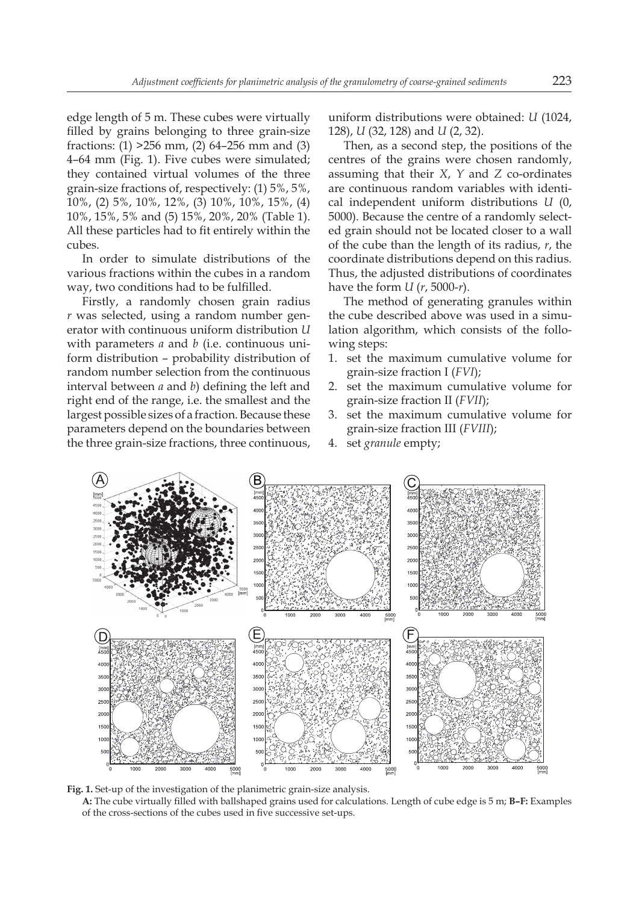edge length of 5 m. These cubes were virtually filled by grains belonging to three grain-size fractions: (1) >256 mm, (2) 64–256 mm and (3) 4–64 mm (Fig. 1). Five cubes were simulated; they contained virtual volumes of the three grain-size fractions of, respectively: (1) 5%, 5%, 10%, (2) 5%, 10%, 12%, (3) 10%, 10%, 15%, (4) 10%, 15%, 5% and (5) 15%, 20%, 20% (Table 1). All these particles had to fit entirely within the cubes.

In order to simulate distributions of the various fractions within the cubes in a random way, two conditions had to be fulfilled.

Firstly, a randomly chosen grain radius *r* was selected, using a random number generator with continuous uniform distribution *U* with parameters *a* and *b* (i.e. continuous uniform distribution – probability distribution of random number selection from the continuous interval between *a* and *b*) defining the left and right end of the range, i.e. the smallest and the largest possible sizes of a fraction. Because these parameters depend on the boundaries between the three grain-size fractions, three continuous,

uniform distributions were obtained: *U* (1024, 128), *U* (32, 128) and *U* (2, 32).

Then, as a second step, the positions of the centres of the grains were chosen randomly, assuming that their *X*, *Y* and *Z* co-ordinates are continuous random variables with identical independent uniform distributions *U* (0, 5000). Because the centre of a randomly selected grain should not be located closer to a wall of the cube than the length of its radius, *r*, the coordinate distributions depend on this radius*.* Thus, the adjusted distributions of coordinates have the form *U* (*r*, 5000-*r*).

The method of generating granules within the cube described above was used in a simulation algorithm, which consists of the following steps:

- 1. set the maximum cumulative volume for grain-size fraction I (*FVI*);
- 2. set the maximum cumulative volume for grain-size fraction II (*FVII*);
- 3. set the maximum cumulative volume for grain-size fraction III (*FVIII*);
- 4. set *granule* empty;



**Fig. 1.** Set-up of the investigation of the planimetric grain-size analysis.

**A:** The cube virtually filled with ballshaped grains used for calculations. Length of cube edge is 5 m; **B–F:** Examples of the cross-sections of the cubes used in five successive set-ups.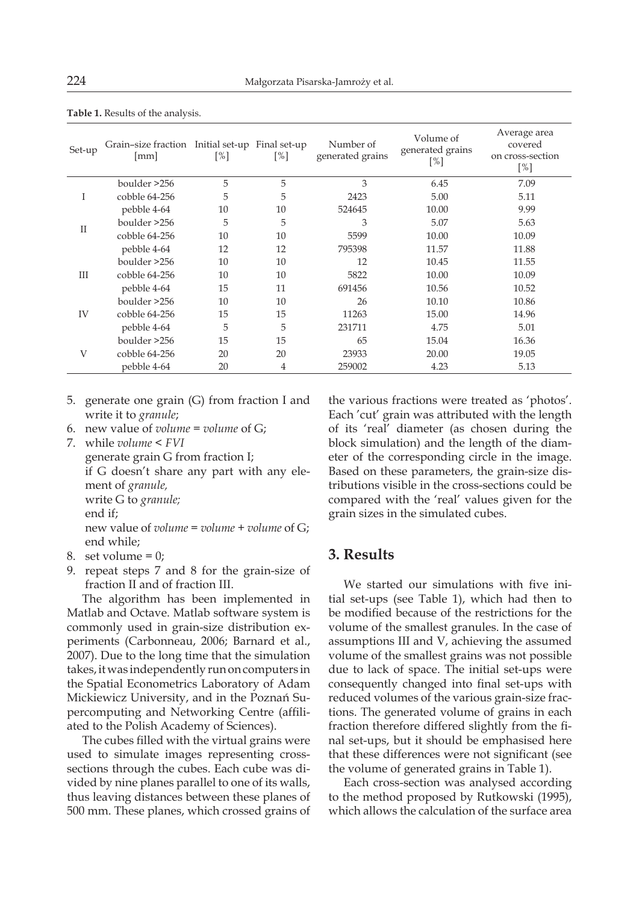| Set-up       | Grain-size fraction Initial set-up Final set-up<br>[mm] | $\lceil\% \rceil$ | [%] | Number of<br>generated grains | Volume of<br>generated grains<br>[%] | Average area<br>covered<br>on cross-section<br>[%] |
|--------------|---------------------------------------------------------|-------------------|-----|-------------------------------|--------------------------------------|----------------------------------------------------|
| Ι            | boulder >256                                            | 5                 | 5   | 3                             | 6.45                                 | 7.09                                               |
|              | cobble 64-256                                           | 5                 | 5   | 2423                          | 5.00                                 | 5.11                                               |
|              | pebble 4-64                                             | 10                | 10  | 524645                        | 10.00                                | 9.99                                               |
| $\mathbf{I}$ | boulder >256                                            | 5                 | 5   | 3                             | 5.07                                 | 5.63                                               |
|              | cobble 64-256                                           | 10                | 10  | 5599                          | 10.00                                | 10.09                                              |
|              | pebble 4-64                                             | 12                | 12  | 795398                        | 11.57                                | 11.88                                              |
| Ш            | boulder >256                                            | 10                | 10  | 12                            | 10.45                                | 11.55                                              |
|              | cobble 64-256                                           | 10                | 10  | 5822                          | 10.00                                | 10.09                                              |
|              | pebble 4-64                                             | 15                | 11  | 691456                        | 10.56                                | 10.52                                              |
|              | boulder > 256                                           | 10                | 10  | 26                            | 10.10                                | 10.86                                              |
| IV           | cobble 64-256                                           | 15                | 15  | 11263                         | 15.00                                | 14.96                                              |
|              | pebble 4-64                                             | 5                 | 5   | 231711                        | 4.75                                 | 5.01                                               |
| V            | boulder >256                                            | 15                | 15  | 65                            | 15.04                                | 16.36                                              |
|              | cobble 64-256                                           | 20                | 20  | 23933                         | 20.00                                | 19.05                                              |
|              | pebble 4-64                                             | 20                | 4   | 259002                        | 4.23                                 | 5.13                                               |

**Table 1.** Results of the analysis.

- 5. generate one grain (G) from fraction I and write it to *granule*;
- 6. new value of *volume* = *volume* of G;
- 7. while *volume* < *FVI*

generate grain G from fraction I; if G doesn't share any part with any element of *granule,* write G to *granule;* end if; new value of *volume* = *volume* + *volume* of G; end while;

- 8. set volume  $= 0$ ;
- 9. repeat steps 7 and 8 for the grain-size of fraction II and of fraction III.

The algorithm has been implemented in Matlab and Octave. Matlab software system is commonly used in grain-size distribution experiments (Carbonneau, 2006; Barnard et al., 2007). Due to the long time that the simulation takes, it was independently run on computers in the Spatial Econometrics Laboratory of Adam Mickiewicz University, and in the Poznań Supercomputing and Networking Centre (affiliated to the Polish Academy of Sciences).

The cubes filled with the virtual grains were used to simulate images representing crosssections through the cubes. Each cube was divided by nine planes parallel to one of its walls, thus leaving distances between these planes of 500 mm. These planes, which crossed grains of

the various fractions were treated as 'photos'. Each 'cut' grain was attributed with the length of its 'real' diameter (as chosen during the block simulation) and the length of the diameter of the corresponding circle in the image. Based on these parameters, the grain-size distributions visible in the cross-sections could be compared with the 'real' values given for the grain sizes in the simulated cubes.

## **3. Results**

We started our simulations with five initial set-ups (see Table 1), which had then to be modified because of the restrictions for the volume of the smallest granules. In the case of assumptions III and V, achieving the assumed volume of the smallest grains was not possible due to lack of space. The initial set-ups were consequently changed into final set-ups with reduced volumes of the various grain-size fractions. The generated volume of grains in each fraction therefore differed slightly from the final set-ups, but it should be emphasised here that these differences were not significant (see the volume of generated grains in Table 1).

Each cross-section was analysed according to the method proposed by Rutkowski (1995), which allows the calculation of the surface area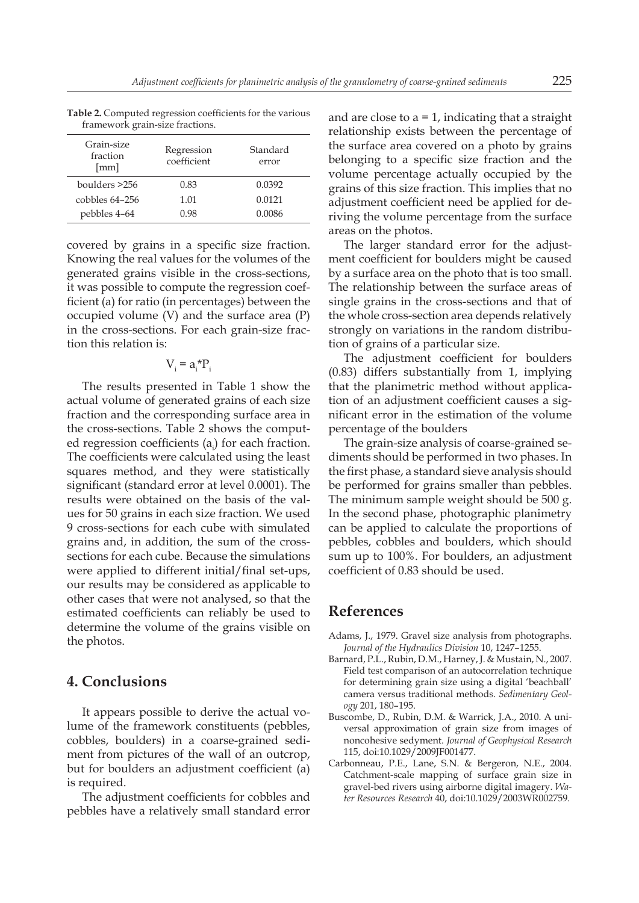| Grain-size<br>fraction<br>${\rm [mm]}$ | Regression<br>coefficient | Standard<br>error |  |  |  |  |
|----------------------------------------|---------------------------|-------------------|--|--|--|--|
| boulders >256                          | 0.83                      | 0.0392            |  |  |  |  |
| $coh$ $64-256$                         | 1.01                      | 0.0121            |  |  |  |  |
| pebbles 4–64                           | 0.98                      | 0.0086            |  |  |  |  |

**Table 2.** Computed regression coefficients for the various framework grain-size fractions.

covered by grains in a specific size fraction. Knowing the real values for the volumes of the generated grains visible in the cross-sections, it was possible to compute the regression coefficient (a) for ratio (in percentages) between the occupied volume (V) and the surface area (P) in the cross-sections. For each grain-size fraction this relation is:

$$
V_i = a_i^* P_i
$$

The results presented in Table 1 show the actual volume of generated grains of each size fraction and the corresponding surface area in the cross-sections. Table 2 shows the computed regression coefficients (a<sub>i</sub>) for each fraction. The coefficients were calculated using the least squares method, and they were statistically significant (standard error at level 0.0001). The results were obtained on the basis of the values for 50 grains in each size fraction. We used 9 cross-sections for each cube with simulated grains and, in addition, the sum of the crosssections for each cube. Because the simulations were applied to different initial/final set-ups, our results may be considered as applicable to other cases that were not analysed, so that the estimated coefficients can reliably be used to determine the volume of the grains visible on the photos.

## **4. Conclusions**

It appears possible to derive the actual volume of the framework constituents (pebbles, cobbles, boulders) in a coarse-grained sediment from pictures of the wall of an outcrop, but for boulders an adjustment coefficient (a) is required.

The adjustment coefficients for cobbles and pebbles have a relatively small standard error and are close to  $a = 1$ , indicating that a straight relationship exists between the percentage of the surface area covered on a photo by grains belonging to a specific size fraction and the volume percentage actually occupied by the grains of this size fraction. This implies that no adjustment coefficient need be applied for deriving the volume percentage from the surface areas on the photos.

The larger standard error for the adjustment coefficient for boulders might be caused by a surface area on the photo that is too small. The relationship between the surface areas of single grains in the cross-sections and that of the whole cross-section area depends relatively strongly on variations in the random distribution of grains of a particular size.

The adjustment coefficient for boulders (0.83) differs substantially from 1, implying that the planimetric method without application of an adjustment coefficient causes a significant error in the estimation of the volume percentage of the boulders

The grain-size analysis of coarse-grained sediments should be performed in two phases. In the first phase, a standard sieve analysis should be performed for grains smaller than pebbles. The minimum sample weight should be 500 g. In the second phase, photographic planimetry can be applied to calculate the proportions of pebbles, cobbles and boulders, which should sum up to 100%. For boulders, an adjustment coefficient of 0.83 should be used.

## **References**

- Adams, J., 1979. Gravel size analysis from photographs. *Journal of the Hydraulics Division* 10, 1247–1255.
- Barnard, P.L., Rubin, D.M., Harney, J. & Mustain, N., 2007. Field test comparison of an autocorrelation technique for determining grain size using a digital 'beachball' camera versus traditional methods. *Sedimentary Geology* 201, 180–195.
- Buscombe, D., Rubin, D.M. & Warrick, J.A., 2010. A universal approximation of grain size from images of noncohesive sedyment. *Journal of Geophysical Research* 115, doi:10.1029/2009JF001477.
- Carbonneau, P.E., Lane, S.N. & Bergeron, N.E., 2004. Catchment-scale mapping of surface grain size in gravel-bed rivers using airborne digital imagery. *Water Resources Research* 40, doi:10.1029/2003WR002759.